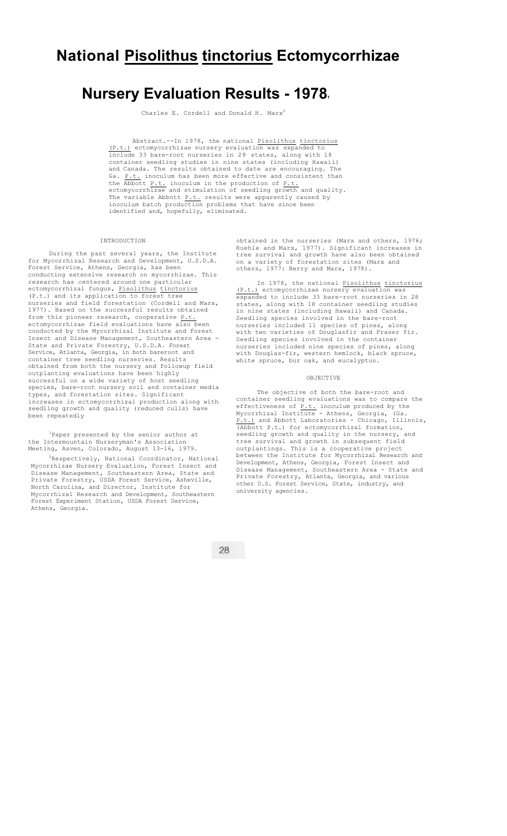# **National Pisolithus tinctorius Ectomycorrhizae**

# **Nursery Evaluation Results - 1978.**

Charles E. Cordell and Donald H. Marx<sup>2</sup>

Abstract.--In 1978, the national Pisolithus tinctorius (P.t.) ectomycorrhizae nursery evaluation was expanded to include 33 bare-root nurseries in 28 states, along with 18 container seedling studies in nine states (including Hawaii) and Canada. The results obtained to date are encouraging. The Ga. P.t. inoculum has been more effective and consistent than the Abbott P.t. inoculum in the production of P.t. ectomycorrhizae and stimulation of seedling growth and quality. The variable Abbott P.t. results were apparently caused by inoculum batch production problems that have since been identified and, hopefully, eliminated.

## INTRODUCTION

During the past several years, the Institute for Mycorrhizal Research and Development, U.S.D.A. Forest Service, Athens, Georgia, has been conducting extensive research on mycorrhizae. This research has centered around one particular ectomycorrhizal fungus, Pisolithus tinctorius (P.t.) and its application to forest tree nurseries and field forestation (Cordell and Marx, 1977). Based on the successful results obtained from this pioneer research, cooperative P.t. ectomycorrhizae field evaluations have also been conducted by the Mycorrhizal Institute and Forest Insect and Disease Management, Southeastern Area - State and Private Forestry, U.S.D.A. Forest Service, Atlanta, Georgia, in both bareroot and container tree seedling nurseries. Results obtained from both the nursery and followup field outplanting evaluations have been highly successful on a wide variety of host seedling species, bare-root nursery soil and container media types, and forestation sites. Significant increases in ectomycorrhizal production along with seedling growth and quality (reduced culls) have been repeatedly

1Paper presented by the senior author at the Intermountain Nurseryman's Association Meeting, Asven, Colorado, August 13-16, 1979.

 $2R$ espectively, National Coordinator, National Mycorrhizae Nursery Evaluation, Forest Insect and Disease Management, Southeastern Area, State and Private Forestry, USDA Forest Service, Asheville, North Carolina, and Director, Institute for Mycorrhizal Research and Development, Southeastern Forest Experiment Station, USDA Forest Service, Athens, Georgia.

obtained in the nurseries (Marx and others, 1976; Ruehle and Marx, 1977). Significant increases in tree survival and growth have also been obtained on a variety of forestation sites (Marx and on a variety of forestation sites (M<br>others, 1977: Berry and Marx, 1978).

In 1978, the national Pisolithus tinctorius (P.t.) ectomycorrhizae nursery evaluation was expanded to include 33 bare-root nurseries in 28 states, along with 18 container seedling studies in nine states (including Hawaii) and Canada. Seedling species involved in the bare-root nurseries included 11 species of pines, along with two varieties of Douglasfir and Fraser fir. Seedling species involved in the container nurseries included nine species of pines, along with Douglas-fir, western hemlock, black spruce, white spruce, bur oak, and eucalyptus.

#### OBJECTIVE

The objective of both the bare-root and container seedling evaluations was to compare the effectiveness of  $\frac{P.t.}{P.t.}$  inoculum produced by Mycorrhizal Institute - Athens, Georgia, (Ga. P.t.) and Abbott Laboratories - Chicago, Illinois, (Abbott P.t.) for ectomycorrhizal formation, seedling growth and quality in the nursery, and tree survival and growth in subsequent field outplantings. This is a cooperative project between the Institute for Mycorrhizal Research and Development, Athens, Georgia, Forest Insect and Disease Management, Southeastern Area - State and Private Forestry, Atlanta, Georgia, and various other U.S. Forest Service, State, industry, and university agencies.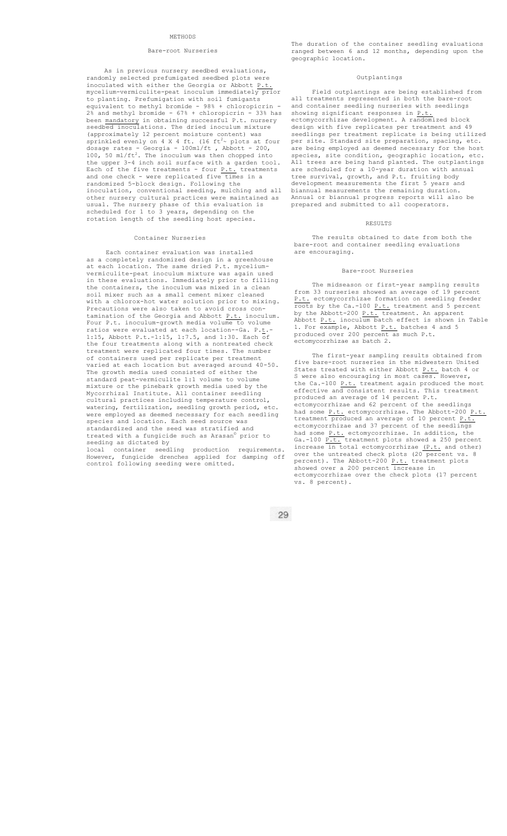## METHODS

## Bare-root Nurseries

As in previous nursery seedbed evaluations, randomly selected prefumigated seedbed plots were inoculated with either the Georgia or Abbott P.t. mycelium-vermiculite-peat inoculum immediately prior to planting. Prefumigation with soil fumigants equivalent to methyl bromide - 98% + chloropicrin - 2% and methyl bromide - 67% + chloropicrin - 33% has been mandatory in obtaining successful P.t. nursery seedbed inoculations. The dried inoculum mixture (approximately 12 percent moisture content) was<br>sprinkled evenly on 4 X 4 ft. (16 ft<sup>2</sup>~ plots at four dosage rates - Georgia - 100ml/ft , Abbott - 200,<br>100, 50 ml/ft<sup>2</sup>. The inoculum was then chopped into the upper 3-4 inch soil surface with a garden tool. Each of the five treatments - four  $P.t.$  treatments and one check - were replicated five times in a randomized 5-block design. Following the inoculation, conventional seeding, mulching and all other nursery cultural practices were maintained as usual. The nursery phase of this evaluation is scheduled for 1 to 3 years, depending on the rotation length of the seedling host species.

### Container Nurseries

Each container evaluation was installed as a completely randomized design in a greenhouse at each location. The same dried P.t. myceliumvermiculite-peat inoculum mixture was again used in these evaluations. Immediately prior to filling the containers, the inoculum was mixed in a clean soil mixer such as a small cement mixer cleaned with a chlorox-hot water solution prior to mixing. Precautions were also taken to avoid cross contamination of the Georgia and Abbott P.t. inoculum. Four P.t. inoculum-growth media volume to volume ratios were evaluated at each location--Ga. P.t.- 1:15, Abbott P.t.-1:15, 1:7.5, and 1:30. Each of the four treatments along with a nontreated check treatment were replicated four times. The number of containers used per replicate per treatment varied at each location but averaged around 40-50. The growth media used consisted of either the standard peat-vermiculite 1:1 volume to volume mixture or the pinebark growth media used by the Mycorrhizal Institute. All container seedling cultural practices including temperature control, watering, fertilization, seedling growth period, etc. were employed as deemed necessary for each seedling species and location. Each seed source was .<br>tandardized and the seed was stratified and treated with a fungicide such as Arasan© prior to seeding as dictated by local container seedling production requirements.

However, fungicide drenches applied for damping off However, fungicide drenches applied for<br>control following seeding were omitted.

The duration of the container seedling evaluations ranged between 6 and 12 months, depending upon the geographic location.

## Outplantings

Field outplantings are being established from all treatments represented in both the bare-root and container seedling nurseries with seedlings showing significant responses in P.t. ectomycorrhizae development. A randomized block design with five replicates per treatment and 49 seedlings per treatment replicate is being utilized per site. Standard site preparation, spacing, etc. are being employed as deemed necessary for the host species, site condition, geographic location, etc. All trees are being hand planted. The outplantings are scheduled for a 10-year duration with annual tree survival, growth, and P.t. fruiting body development measurements the first 5 years and biannual measurements the remaining duration. Annual or biannual progress reports will also be prepared and submitted to all cooperators.

#### **RESULTS**

The results obtained to date from both the bare-root and container seedling evaluations are encouraging.

## Bare-root Nurseries

The midseason or first-year sampling results from 33 nurseries showed an average of 19 percent P.t. ectomycorrhizae formation on seedling feeder roots by the Ca.-100 P.t. treatment and 5 percent by the Abbott-200 P.t. treatment. An apparent Abbott P.t. inoculum batch effect is shown in Table 1. For example, Abbott P.t. batches 4 and 5 produced over 200 percent as much P.t. ectomycorrhizae as batch 2.

The first-year sampling results obtained from five bare-root nurseries in the midwestern United States treated with either Abbott P.t. batch 4 or S were also encouraging in most cases. However, the Ca.-100 P.t. treatment again produced the most effective and consistent results. This treatment produced an average of 14 percent P.t. ectomycorrhizae and 62 percent of the seedlings had some P.t. ectomycorrhizae. The Abbott-200 P.t. treatment produced an average of 10 percent P.t. ectomycorrhizae and 37 percent of the seedlings had some P.t. ectomycorrhizae. In addition, the Ga.-100 P.t. treatment plots showed a 250 percent increase in total ectomycorrhizae (P.t. and other) over the untreated check plots (20 percent vs. 8 percent). The Abbott-200 P.t. treatment plots showed over a 200 percent increase in ectomycorrhizae over the check plots (17 percent vs. 8 percent).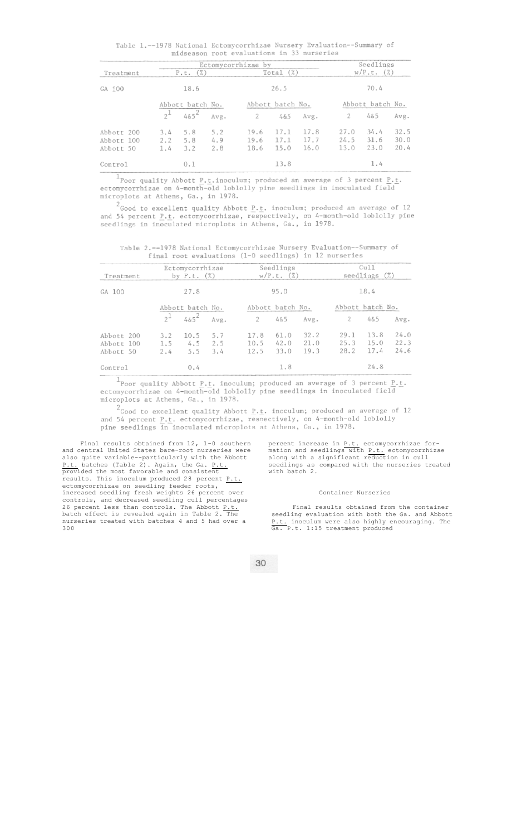Table 1.--1978 National Ectomycorrhizae Nursery Evaluation--Summary of midseason root evaluations in 33 nurseries

|            | Ectomycorrhizae by       |     |     |                          |      |      | Seedlings                |      |      |
|------------|--------------------------|-----|-----|--------------------------|------|------|--------------------------|------|------|
| Treatment  | P.t.                     |     |     | $(\%)$<br>Total          |      |      | $w/P.t.$ (%)             |      |      |
| GA 100     | 18.6<br>Abbott batch No. |     |     | 26.5<br>Abbott batch No. |      |      | 70.4<br>Abbott batch No. |      |      |
|            |                          |     |     |                          |      |      |                          |      |      |
|            | Abbott 200               | 3.4 | 5.8 | 5.2                      | 19.6 | 17.1 | 17.8                     | 27.0 | 34.4 |
| Abbott 100 | 2.2                      | 5.8 | 4.9 | 19.6                     | 17.1 | 17.7 | 24.5                     | 31.6 | 30.0 |
| Abbott 50  | 1.4                      | 3.2 | 2.8 | 18.6                     | 15.0 | 16.0 | 13.0                     | 23.0 | 20.4 |
| Control    |                          | 0.1 |     |                          | 13.8 |      |                          | 1.4  |      |

 $\frac{1}{2}$ Poor quality Abbott <u>P</u>.t.inoculum; produced an average of 3 percent <u>P.t</u>. ectomycorrhizae on 4-month-old loblolly pine seedlings in inoculated field microplots at Athens, Ga., in 1978.

<sup>2</sup>Good to excellent quality Abbott P.t. inoculum; produced an average of 12 and 54 percent P.t. ectomycorrhizae, respectively, on 4-month-old loblolly pine<br>seedlings in inoculated microplots in Athens, Ga., in 1978.

Table 2.--1978 National Ectomycorrhizae Nursery Evaluation--Summary of final root evaluations (1-0 seedlings) in 12 nurseries

| Treatment | Ectomycorrhizae<br>by $P.t.$ $(\%)$   |                   |                    | Seedlings<br>$w/P.t.$ (%) |                      |                      | Cu11<br>seedlings $(\%)$ |                      |                      |
|-----------|---------------------------------------|-------------------|--------------------|---------------------------|----------------------|----------------------|--------------------------|----------------------|----------------------|
| GA 100    | 27.8<br>Abbott batch No.              |                   |                    | 95.0<br>Abbott batch No.  |                      |                      | 18.4<br>Abbott batch No. |                      |                      |
|           |                                       |                   |                    |                           |                      |                      |                          |                      |                      |
|           | Abbott 200<br>Abbott 100<br>Abbott 50 | 3.2<br>1.5<br>2.4 | 10.5<br>4.5<br>5.5 | 5.7<br>2.5<br>3.4         | 17.8<br>10.5<br>12.5 | 61.0<br>42.0<br>33.0 | 32.2<br>21.0<br>19.3     | 29.1<br>25.3<br>28.2 | 13.8<br>15.0<br>17.4 |
| Control   |                                       | 0.4               |                    |                           | 1.8                  |                      |                          | 24.8                 |                      |

Poor quality Abbott  $\underline{P}.\underline{t}$ . inoculum; produced an average of 3 percent  $\underline{P}.\underline{t}$ .<br>ectomycorrhizae on 4-month-old loblolly pine seedlings in inoculated field microplots at Athens, Ga., in 1978.

 $2$  Good to excellent quality Abbott P.t. inoculum; produced an average of 12 and 54 percent P.t. ectomycorrhizae, respectively, on 4-month-old loblolly<br>pine seedlings in inoculated microplots at Athens, Ga., in 1978.

Final results obtained from 12, 1-0 southern and central United States bare-root nurseries were also quite variable--particularly with the Abbott P.t. batches (Table 2). Again, the Ga. P.t. provided the most favorable and consistent results. This inoculum produced 28 percent P.t. ectomycorrhizae on seedling feeder roots, increased seedling fresh weights 26 percent over controls, and decreased seedling cull percentages 26 percent less than controls. The Abbott P.t. batch effect is revealed again in Table 2. The nurseries treated with batches 4 and 5 had over a 300

percent increase in P.t. ectomycorrhizae formation and seedlings with P.t. ectomycorrhizae along with a significant reduction in cull seedlings as compared with the nurseries treated with batch 2.

## Container Nurseries

Final results obtained from the container seedling evaluation with both the Ga. and Abbott P.t. inoculum were also highly encouraging. The Ga. P.t. 1:15 treatment produced